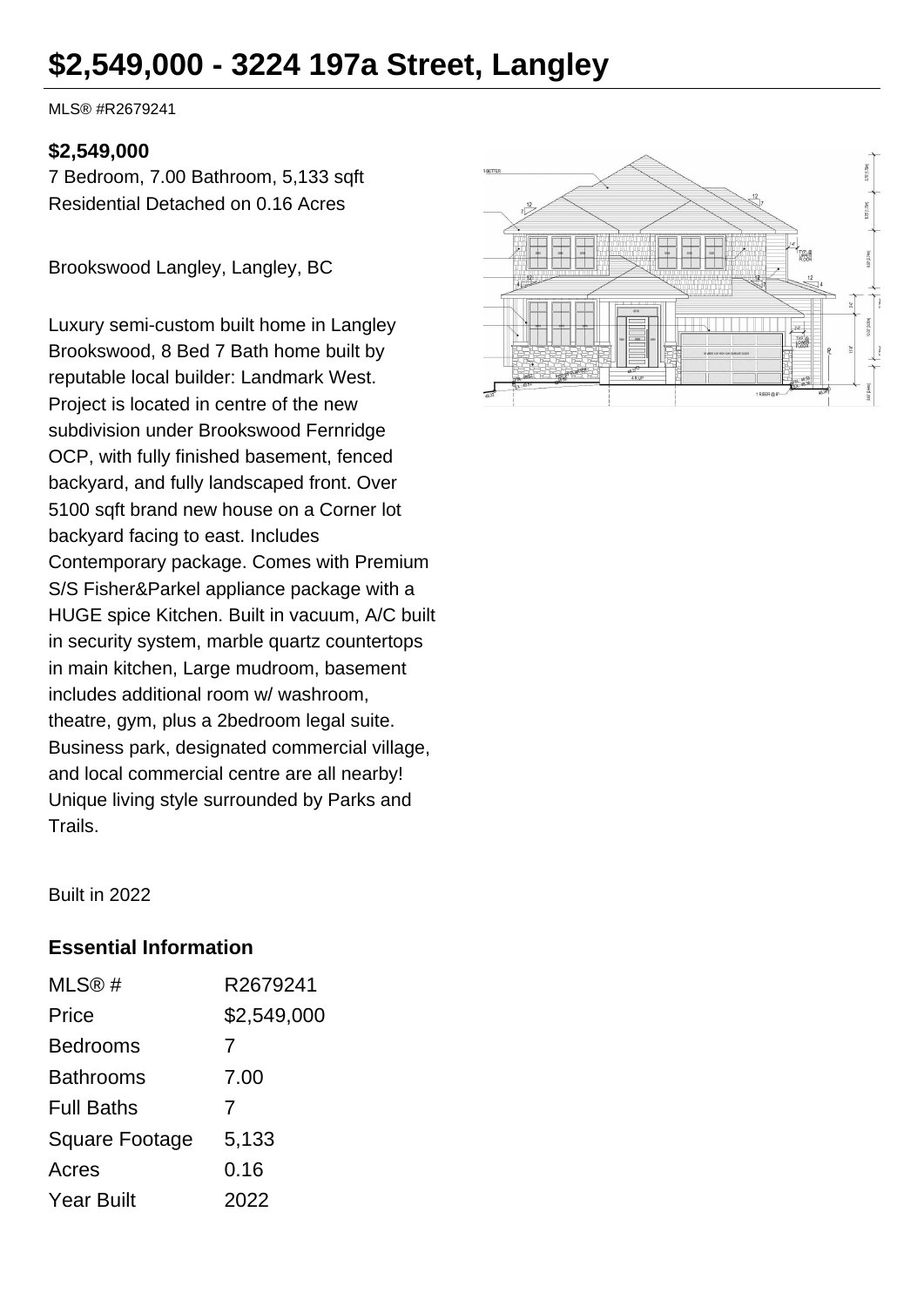# **\$2,549,000 - 3224 197a Street, Langley**

MLS® #R2679241

### **\$2,549,000**

7 Bedroom, 7.00 Bathroom, 5,133 sqft Residential Detached on 0.16 Acres

Brookswood Langley, Langley, BC

Luxury semi-custom built home in Langley Brookswood, 8 Bed 7 Bath home built by reputable local builder: Landmark West. Project is located in centre of the new subdivision under Brookswood Fernridge OCP, with fully finished basement, fenced backyard, and fully landscaped front. Over 5100 sqft brand new house on a Corner lot backyard facing to east. Includes Contemporary package. Comes with Premium S/S Fisher&Parkel appliance package with a HUGE spice Kitchen. Built in vacuum, A/C built in security system, marble quartz countertops in main kitchen, Large mudroom, basement includes additional room w/ washroom, theatre, gym, plus a 2bedroom legal suite. Business park, designated commercial village, and local commercial centre are all nearby! Unique living style surrounded by Parks and Trails.



Built in 2022

#### **Essential Information**

| MLS@#                 | R2679241    |
|-----------------------|-------------|
| Price                 | \$2,549,000 |
| <b>Bedrooms</b>       | 7           |
| <b>Bathrooms</b>      | 7.00        |
| <b>Full Baths</b>     | 7           |
| <b>Square Footage</b> | 5,133       |
| Acres                 | 0.16        |
| <b>Year Built</b>     | 2022        |